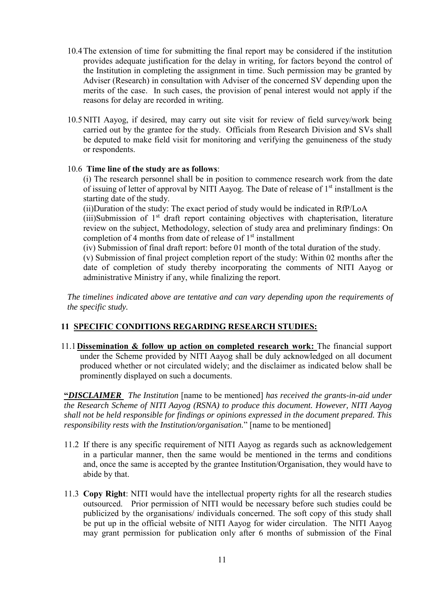- 10.4The extension of time for submitting the final report may be considered if the institution provides adequate justification for the delay in writing, for factors beyond the control of the Institution in completing the assignment in time. Such permission may be granted by Adviser (Research) in consultation with Adviser of the concerned SV depending upon the merits of the case. In such cases, the provision of penal interest would not apply if the reasons for delay are recorded in writing.
- 10.5NITI Aayog, if desired, may carry out site visit for review of field survey/work being carried out by the grantee for the study. Officials from Research Division and SVs shall be deputed to make field visit for monitoring and verifying the genuineness of the study or respondents.

## 10.6 **Time line of the study are as follows**:

(i) The research personnel shall be in position to commence research work from the date of issuing of letter of approval by NITI Aayog. The Date of release of 1<sup>st</sup> installment is the starting date of the study.

(ii)Duration of the study: The exact period of study would be indicated in RfP/LoA  $(iii)$ Submission of  $1<sup>st</sup>$  draft report containing objectives with chapterisation, literature review on the subject, Methodology, selection of study area and preliminary findings: On completion of 4 months from date of release of 1<sup>st</sup> installment

(iv) Submission of final draft report: before 01 month of the total duration of the study.

(v) Submission of final project completion report of the study: Within 02 months after the date of completion of study thereby incorporating the comments of NITI Aayog or administrative Ministry if any, while finalizing the report.

*The timelines indicated above are tentative and can vary depending upon the requirements of the specific study.* 

# **11 SPECIFIC CONDITIONS REGARDING RESEARCH STUDIES:**

11.1**Dissemination & follow up action on completed research work:** The financial support under the Scheme provided by NITI Aayog shall be duly acknowledged on all document produced whether or not circulated widely; and the disclaimer as indicated below shall be prominently displayed on such a documents.

**"***DISCLAIMER The Institution* [name to be mentioned] *has received the grants-in-aid under the Research Scheme of NITI Aayog (RSNA) to produce this document. However, NITI Aayog shall not be held responsible for findings or opinions expressed in the document prepared. This responsibility rests with the Institution/organisation.*" [name to be mentioned]

- 11.2 If there is any specific requirement of NITI Aayog as regards such as acknowledgement in a particular manner, then the same would be mentioned in the terms and conditions and, once the same is accepted by the grantee Institution/Organisation, they would have to abide by that.
- 11.3 **Copy Right**: NITI would have the intellectual property rights for all the research studies outsourced. Prior permission of NITI would be necessary before such studies could be publicized by the organisations/ individuals concerned. The soft copy of this study shall be put up in the official website of NITI Aayog for wider circulation. The NITI Aayog may grant permission for publication only after 6 months of submission of the Final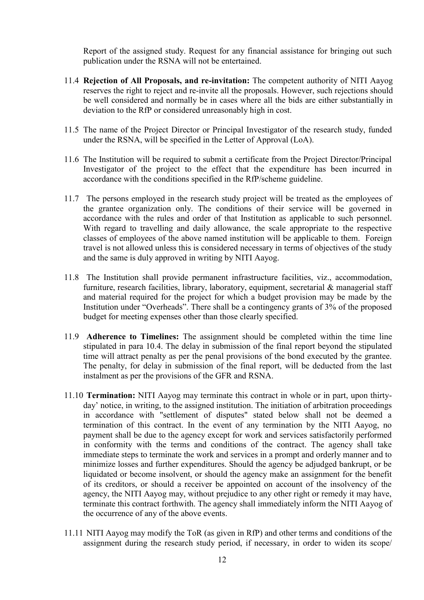Report of the assigned study. Request for any financial assistance for bringing out such publication under the RSNA will not be entertained.

- 11.4 **Rejection of All Proposals, and re-invitation:** The competent authority of NITI Aayog reserves the right to reject and re-invite all the proposals. However, such rejections should be well considered and normally be in cases where all the bids are either substantially in deviation to the RfP or considered unreasonably high in cost.
- 11.5 The name of the Project Director or Principal Investigator of the research study, funded under the RSNA, will be specified in the Letter of Approval (LoA).
- 11.6 The Institution will be required to submit a certificate from the Project Director/Principal Investigator of the project to the effect that the expenditure has been incurred in accordance with the conditions specified in the RfP/scheme guideline.
- 11.7 The persons employed in the research study project will be treated as the employees of the grantee organization only. The conditions of their service will be governed in accordance with the rules and order of that Institution as applicable to such personnel. With regard to travelling and daily allowance, the scale appropriate to the respective classes of employees of the above named institution will be applicable to them. Foreign travel is not allowed unless this is considered necessary in terms of objectives of the study and the same is duly approved in writing by NITI Aayog.
- 11.8 The Institution shall provide permanent infrastructure facilities, viz., accommodation, furniture, research facilities, library, laboratory, equipment, secretarial & managerial staff and material required for the project for which a budget provision may be made by the Institution under "Overheads". There shall be a contingency grants of 3% of the proposed budget for meeting expenses other than those clearly specified.
- 11.9 **Adherence to Timelines:** The assignment should be completed within the time line stipulated in para 10.4. The delay in submission of the final report beyond the stipulated time will attract penalty as per the penal provisions of the bond executed by the grantee. The penalty, for delay in submission of the final report, will be deducted from the last instalment as per the provisions of the GFR and RSNA.
- 11.10 **Termination:** NITI Aayog may terminate this contract in whole or in part, upon thirtyday' notice, in writing, to the assigned institution. The initiation of arbitration proceedings in accordance with "settlement of disputes" stated below shall not be deemed a termination of this contract. In the event of any termination by the NITI Aayog, no payment shall be due to the agency except for work and services satisfactorily performed in conformity with the terms and conditions of the contract. The agency shall take immediate steps to terminate the work and services in a prompt and orderly manner and to minimize losses and further expenditures. Should the agency be adjudged bankrupt, or be liquidated or become insolvent, or should the agency make an assignment for the benefit of its creditors, or should a receiver be appointed on account of the insolvency of the agency, the NITI Aayog may, without prejudice to any other right or remedy it may have, terminate this contract forthwith. The agency shall immediately inform the NITI Aayog of the occurrence of any of the above events.
- 11.11 NITI Aayog may modify the ToR (as given in RfP) and other terms and conditions of the assignment during the research study period, if necessary, in order to widen its scope/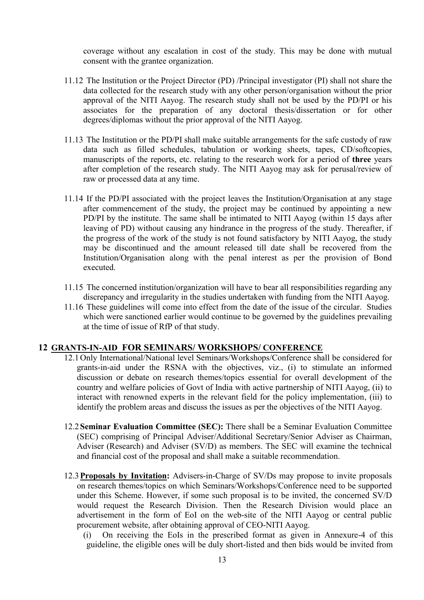coverage without any escalation in cost of the study. This may be done with mutual consent with the grantee organization.

- 11.12 The Institution or the Project Director (PD) /Principal investigator (PI) shall not share the data collected for the research study with any other person/organisation without the prior approval of the NITI Aayog. The research study shall not be used by the PD/PI or his associates for the preparation of any doctoral thesis/dissertation or for other degrees/diplomas without the prior approval of the NITI Aayog.
- 11.13 The Institution or the PD/PI shall make suitable arrangements for the safe custody of raw data such as filled schedules, tabulation or working sheets, tapes, CD/softcopies, manuscripts of the reports, etc. relating to the research work for a period of **three** years after completion of the research study. The NITI Aayog may ask for perusal/review of raw or processed data at any time.
- 11.14 If the PD/PI associated with the project leaves the Institution/Organisation at any stage after commencement of the study, the project may be continued by appointing a new PD/PI by the institute. The same shall be intimated to NITI Aayog (within 15 days after leaving of PD) without causing any hindrance in the progress of the study. Thereafter, if the progress of the work of the study is not found satisfactory by NITI Aayog, the study may be discontinued and the amount released till date shall be recovered from the Institution/Organisation along with the penal interest as per the provision of Bond executed.
- 11.15 The concerned institution/organization will have to bear all responsibilities regarding any discrepancy and irregularity in the studies undertaken with funding from the NITI Aayog.
- 11.16 These guidelines will come into effect from the date of the issue of the circular. Studies which were sanctioned earlier would continue to be governed by the guidelines prevailing at the time of issue of RfP of that study.

### **12 GRANTS-IN-AID FOR SEMINARS/ WORKSHOPS/ CONFERENCE**

- 12.1Only International/National level Seminars/Workshops/Conference shall be considered for grants-in-aid under the RSNA with the objectives, viz., (i) to stimulate an informed discussion or debate on research themes/topics essential for overall development of the country and welfare policies of Govt of India with active partnership of NITI Aayog, (ii) to interact with renowned experts in the relevant field for the policy implementation, (iii) to identify the problem areas and discuss the issues as per the objectives of the NITI Aayog.
- 12.2**Seminar Evaluation Committee (SEC):** There shall be a Seminar Evaluation Committee (SEC) comprising of Principal Adviser/Additional Secretary/Senior Adviser as Chairman, Adviser (Research) and Adviser (SV/D) as members. The SEC will examine the technical and financial cost of the proposal and shall make a suitable recommendation.
- 12.3**Proposals by Invitation:** Advisers-in-Charge of SV/Ds may propose to invite proposals on research themes/topics on which Seminars/Workshops/Conference need to be supported under this Scheme. However, if some such proposal is to be invited, the concerned SV/D would request the Research Division. Then the Research Division would place an advertisement in the form of EoI on the web-site of the NITI Aayog or central public procurement website, after obtaining approval of CEO-NITI Aayog.

(i) On receiving the EoIs in the prescribed format as given in Annexure-4 of this guideline, the eligible ones will be duly short-listed and then bids would be invited from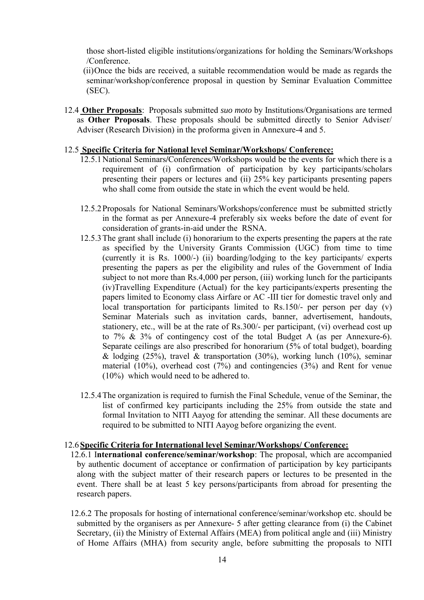those short-listed eligible institutions/organizations for holding the Seminars/Workshops /Conference.

(ii)Once the bids are received, a suitable recommendation would be made as regards the seminar/workshop/conference proposal in question by Seminar Evaluation Committee (SEC).

12.4 **Other Proposals**: Proposals submitted *suo moto* by Institutions/Organisations are termed as **Other Proposals**. These proposals should be submitted directly to Senior Adviser/ Adviser (Research Division) in the proforma given in Annexure-4 and 5.

## 12.5 **Specific Criteria for National level Seminar/Workshops/ Conference:**

- 12.5.1National Seminars**/**Conferences/Workshops would be the events for which there is a requirement of (i) confirmation of participation by key participants/scholars presenting their papers or lectures and (ii) 25% key participants presenting papers who shall come from outside the state in which the event would be held.
- 12.5.2Proposals for National Seminars/Workshops/conference must be submitted strictly in the format as per Annexure-4 preferably six weeks before the date of event for consideration of grants-in-aid under the RSNA.
- 12.5.3The grant shall include (i) honorarium to the experts presenting the papers at the rate as specified by the University Grants Commission (UGC) from time to time (currently it is Rs. 1000/-) (ii) boarding/lodging to the key participants/ experts presenting the papers as per the eligibility and rules of the Government of India subject to not more than Rs.4,000 per person, (iii) working lunch for the participants (iv)Travelling Expenditure (Actual) for the key participants/experts presenting the papers limited to Economy class Airfare or AC -III tier for domestic travel only and local transportation for participants limited to Rs.150/- per person per day (v) Seminar Materials such as invitation cards, banner, advertisement, handouts, stationery, etc., will be at the rate of Rs.300/- per participant, (vi) overhead cost up to 7% & 3% of contingency cost of the total Budget A (as per Annexure-6). Separate ceilings are also prescribed for honorarium (5% of total budget), boarding & lodging  $(25\%)$ , travel & transportation  $(30\%)$ , working lunch  $(10\%)$ , seminar material (10%), overhead cost (7%) and contingencies (3%) and Rent for venue (10%) which would need to be adhered to.
- 12.5.4The organization is required to furnish the Final Schedule, venue of the Seminar, the list of confirmed key participants including the 25% from outside the state and formal Invitation to NITI Aayog for attending the seminar. All these documents are required to be submitted to NITI Aayog before organizing the event.

### 12.6**Specific Criteria for International level Seminar/Workshops/ Conference:**

- 12.6.1 I**nternational conference/seminar/workshop**: The proposal, which are accompanied by authentic document of acceptance or confirmation of participation by key participants along with the subject matter of their research papers or lectures to be presented in the event. There shall be at least 5 key persons/participants from abroad for presenting the research papers.
- 12.6.2 The proposals for hosting of international conference/seminar/workshop etc. should be submitted by the organisers as per Annexure- 5 after getting clearance from (i) the Cabinet Secretary, (ii) the Ministry of External Affairs (MEA) from political angle and (iii) Ministry of Home Affairs (MHA) from security angle, before submitting the proposals to NITI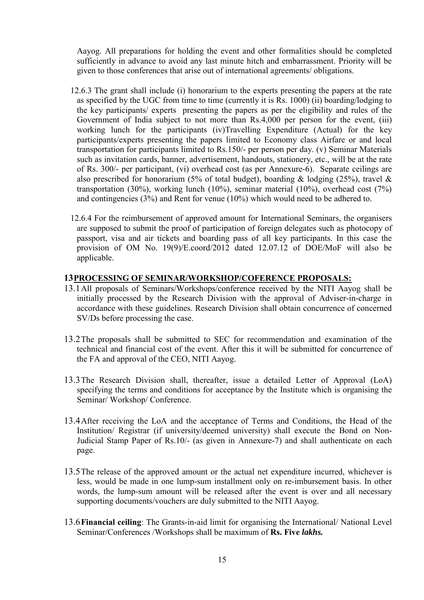Aayog. All preparations for holding the event and other formalities should be completed sufficiently in advance to avoid any last minute hitch and embarrassment. Priority will be given to those conferences that arise out of international agreements/ obligations.

- 12.6.3 The grant shall include (i) honorarium to the experts presenting the papers at the rate as specified by the UGC from time to time (currently it is Rs. 1000) (ii) boarding/lodging to the key participants/ experts presenting the papers as per the eligibility and rules of the Government of India subject to not more than Rs.4,000 per person for the event, (iii) working lunch for the participants (iv)Travelling Expenditure (Actual) for the key participants/experts presenting the papers limited to Economy class Airfare or and local transportation for participants limited to Rs.150/- per person per day. (v) Seminar Materials such as invitation cards, banner, advertisement, handouts, stationery, etc., will be at the rate of Rs. 300/- per participant, (vi) overhead cost (as per Annexure-6). Separate ceilings are also prescribed for honorarium (5% of total budget), boarding  $\&$  lodging (25%), travel  $\&$ transportation (30%), working lunch (10%), seminar material (10%), overhead cost (7%) and contingencies (3%) and Rent for venue (10%) which would need to be adhered to.
- 12.6.4 For the reimbursement of approved amount for International Seminars, the organisers are supposed to submit the proof of participation of foreign delegates such as photocopy of passport, visa and air tickets and boarding pass of all key participants. In this case the provision of OM No. 19(9)/E.coord/2012 dated 12.07.12 of DOE/MoF will also be applicable.

## **13PROCESSING OF SEMINAR/WORKSHOP/COFERENCE PROPOSALS:**

- 13.1All proposals of Seminars/Workshops/conference received by the NITI Aayog shall be initially processed by the Research Division with the approval of Adviser-in-charge in accordance with these guidelines. Research Division shall obtain concurrence of concerned SV/Ds before processing the case.
- 13.2The proposals shall be submitted to SEC for recommendation and examination of the technical and financial cost of the event. After this it will be submitted for concurrence of the FA and approval of the CEO, NITI Aayog.
- 13.3The Research Division shall, thereafter, issue a detailed Letter of Approval (LoA) specifying the terms and conditions for acceptance by the Institute which is organising the Seminar/ Workshop/ Conference.
- 13.4After receiving the LoA and the acceptance of Terms and Conditions, the Head of the Institution/ Registrar (if university/deemed university) shall execute the Bond on Non-Judicial Stamp Paper of Rs.10/- (as given in Annexure-7) and shall authenticate on each page.
- 13.5The release of the approved amount or the actual net expenditure incurred, whichever is less, would be made in one lump-sum installment only on re-imbursement basis. In other words, the lump-sum amount will be released after the event is over and all necessary supporting documents/vouchers are duly submitted to the NITI Aayog.
- 13.6**Financial ceiling**: The Grants-in-aid limit for organising the International/ National Level Seminar/Conferences /Workshops shall be maximum of **Rs. Five** *lakhs.*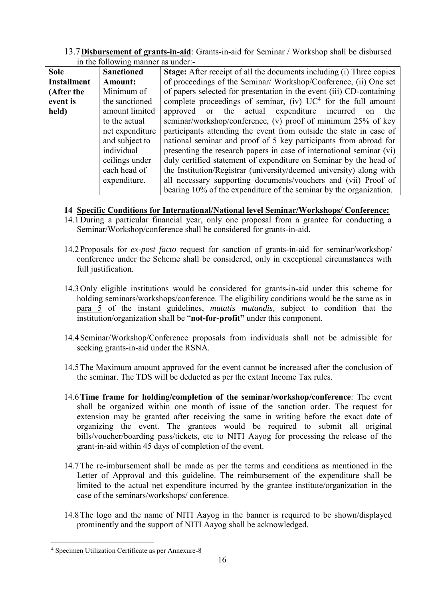13.7**Disbursement of grants-in-aid**: Grants-in-aid for Seminar / Workshop shall be disbursed in the following manner as under:-

| <b>Sole</b>        |                   | <b>Stage:</b> After receipt of all the documents including (i) Three copies |
|--------------------|-------------------|-----------------------------------------------------------------------------|
|                    | <b>Sanctioned</b> |                                                                             |
| <b>Installment</b> | <b>Amount:</b>    | of proceedings of the Seminar/Workshop/Conference, (ii) One set             |
| (After the         | Minimum of        | of papers selected for presentation in the event (iii) CD-containing        |
| event is           | the sanctioned    | complete proceedings of seminar, (iv) $UC^4$ for the full amount            |
| held)              | amount limited    | approved or the actual expenditure incurred on the                          |
|                    | to the actual     | seminar/workshop/conference, (v) proof of minimum 25% of key                |
|                    | net expenditure   | participants attending the event from outside the state in case of          |
|                    | and subject to    | national seminar and proof of 5 key participants from abroad for            |
|                    | individual        | presenting the research papers in case of international seminar (vi)        |
|                    | ceilings under    | duly certified statement of expenditure on Seminar by the head of           |
|                    | each head of      | the Institution/Registrar (university/deemed university) along with         |
|                    | expenditure.      | all necessary supporting documents/vouchers and (vii) Proof of              |
|                    |                   | bearing 10% of the expenditure of the seminar by the organization.          |

# **14 Specific Conditions for International/National level Seminar/Workshops/ Conference:**

- 14.1During a particular financial year, only one proposal from a grantee for conducting a Seminar/Workshop/conference shall be considered for grants-in-aid.
- 14.2Proposals for *ex-post facto* request for sanction of grants-in-aid for seminar/workshop/ conference under the Scheme shall be considered, only in exceptional circumstances with full justification.
- 14.3Only eligible institutions would be considered for grants-in-aid under this scheme for holding seminars/workshops/conference. The eligibility conditions would be the same as in para 5 of the instant guidelines, *mutatis mutandis,* subject to condition that the institution/organization shall be "**not-for-profit"** under this component.
- 14.4Seminar/Workshop/Conference proposals from individuals shall not be admissible for seeking grants-in-aid under the RSNA.
- 14.5The Maximum amount approved for the event cannot be increased after the conclusion of the seminar. The TDS will be deducted as per the extant Income Tax rules.
- 14.6**Time frame for holding/completion of the seminar/workshop/conference**: The event shall be organized within one month of issue of the sanction order. The request for extension may be granted after receiving the same in writing before the exact date of organizing the event. The grantees would be required to submit all original bills/voucher/boarding pass/tickets, etc to NITI Aayog for processing the release of the grant-in-aid within 45 days of completion of the event.
- 14.7The re-imbursement shall be made as per the terms and conditions as mentioned in the Letter of Approval and this guideline. The reimbursement of the expenditure shall be limited to the actual net expenditure incurred by the grantee institute/organization in the case of the seminars/workshops/ conference.
- 14.8The logo and the name of NITI Aayog in the banner is required to be shown/displayed prominently and the support of NITI Aayog shall be acknowledged.

-

<sup>4</sup> Specimen Utilization Certificate as per Annexure-8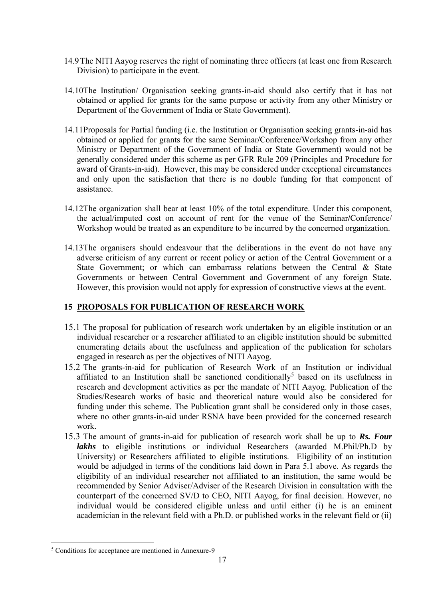- 14.9The NITI Aayog reserves the right of nominating three officers (at least one from Research Division) to participate in the event.
- 14.10The Institution/ Organisation seeking grants-in-aid should also certify that it has not obtained or applied for grants for the same purpose or activity from any other Ministry or Department of the Government of India or State Government).
- 14.11Proposals for Partial funding (i.e. the Institution or Organisation seeking grants-in-aid has obtained or applied for grants for the same Seminar**/**Conference/Workshop from any other Ministry or Department of the Government of India or State Government) would not be generally considered under this scheme as per GFR Rule 209 (Principles and Procedure for award of Grants-in-aid). However, this may be considered under exceptional circumstances and only upon the satisfaction that there is no double funding for that component of assistance.
- 14.12The organization shall bear at least 10% of the total expenditure. Under this component, the actual/imputed cost on account of rent for the venue of the Seminar**/**Conference/ Workshop would be treated as an expenditure to be incurred by the concerned organization.
- 14.13The organisers should endeavour that the deliberations in the event do not have any adverse criticism of any current or recent policy or action of the Central Government or a State Government; or which can embarrass relations between the Central & State Governments or between Central Government and Government of any foreign State. However, this provision would not apply for expression of constructive views at the event.

# **15 PROPOSALS FOR PUBLICATION OF RESEARCH WORK**

- 15.1 The proposal for publication of research work undertaken by an eligible institution or an individual researcher or a researcher affiliated to an eligible institution should be submitted enumerating details about the usefulness and application of the publication for scholars engaged in research as per the objectives of NITI Aayog.
- 15.2 The grants-in-aid for publication of Research Work of an Institution or individual affiliated to an Institution shall be sanctioned conditionally<sup>5</sup> based on its usefulness in research and development activities as per the mandate of NITI Aayog. Publication of the Studies/Research works of basic and theoretical nature would also be considered for funding under this scheme. The Publication grant shall be considered only in those cases, where no other grants-in-aid under RSNA have been provided for the concerned research work.
- 15.3 The amount of grants-in-aid for publication of research work shall be up to *Rs. Four lakhs* to eligible institutions or individual Researchers (awarded M.Phil/Ph.D by University) or Researchers affiliated to eligible institutions. Eligibility of an institution would be adjudged in terms of the conditions laid down in Para 5.1 above. As regards the eligibility of an individual researcher not affiliated to an institution, the same would be recommended by Senior Adviser/Adviser of the Research Division in consultation with the counterpart of the concerned SV/D to CEO, NITI Aayog, for final decision. However, no individual would be considered eligible unless and until either (i) he is an eminent academician in the relevant field with a Ph.D. or published works in the relevant field or (ii)

<sup>-</sup><sup>5</sup> Conditions for acceptance are mentioned in Annexure-9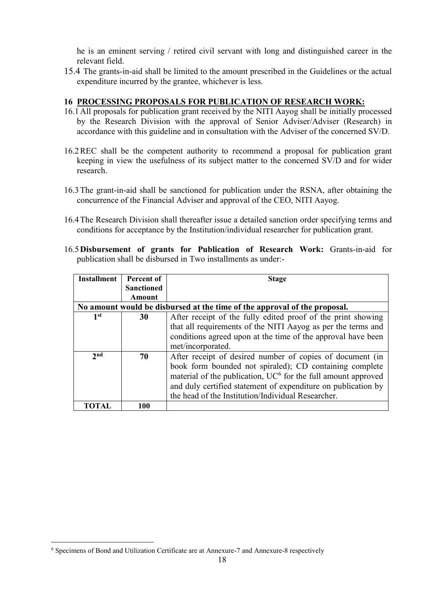he is an eminent serving / retired civil servant with long and distinguished career in the relevant field.

15.4 The grants-in-aid shall be limited to the amount prescribed in the Guidelines or the actual expenditure incurred by the grantee, whichever is less.

## **16 PROCESSING PROPOSALS FOR PUBLICATION OF RESEARCH WORK:**

- 16.1All proposals for publication grant received by the NITI Aayog shall be initially processed by the Research Division with the approval of Senior Adviser/Adviser (Research) in accordance with this guideline and in consultation with the Adviser of the concerned SV/D.
- 16.2REC shall be the competent authority to recommend a proposal for publication grant keeping in view the usefulness of its subject matter to the concerned SV/D and for wider research.
- 16.3The grant-in-aid shall be sanctioned for publication under the RSNA, after obtaining the concurrence of the Financial Adviser and approval of the CEO, NITI Aayog.
- 16.4The Research Division shall thereafter issue a detailed sanction order specifying terms and conditions for acceptance by the Institution/individual researcher for publication grant.
- 16.5**Disbursement of grants for Publication of Research Work:** Grants-in-aid for publication shall be disbursed in Two installments as under:-

| <b>Installment</b> | Percent of        | <b>Stage</b>                                                              |
|--------------------|-------------------|---------------------------------------------------------------------------|
|                    | <b>Sanctioned</b> |                                                                           |
|                    | <b>Amount</b>     |                                                                           |
|                    |                   | No amount would be disbursed at the time of the approval of the proposal. |
| 1 <sup>st</sup>    | 30                | After receipt of the fully edited proof of the print showing              |
|                    |                   | that all requirements of the NITI Aayog as per the terms and              |
|                    |                   | conditions agreed upon at the time of the approval have been              |
|                    |                   | met/incorporated.                                                         |
| 2nd                | 70                | After receipt of desired number of copies of document (in                 |
|                    |                   | book form bounded not spiraled); CD containing complete                   |
|                    |                   | material of the publication, $UC^6$ for the full amount approved          |
|                    |                   | and duly certified statement of expenditure on publication by             |
|                    |                   | the head of the Institution/Individual Researcher.                        |
|                    | 100               |                                                                           |

 6 Specimens of Bond and Utilization Certificate are at Annexure-7 and Annexure-8 respectively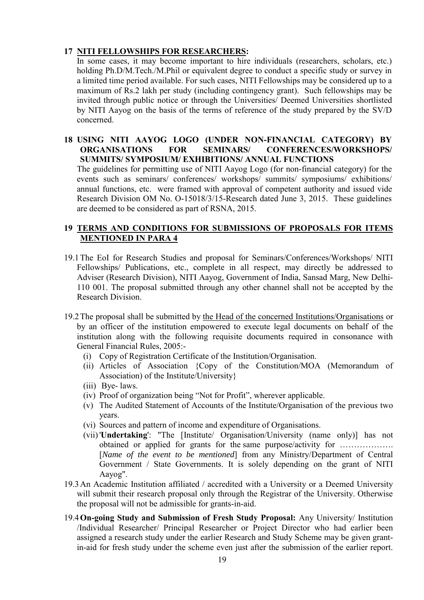## **17 NITI FELLOWSHIPS FOR RESEARCHERS:**

In some cases, it may become important to hire individuals (researchers, scholars, etc.) holding Ph.D/M.Tech./M.Phil or equivalent degree to conduct a specific study or survey in a limited time period available. For such cases, NITI Fellowships may be considered up to a maximum of Rs.2 lakh per study (including contingency grant). Such fellowships may be invited through public notice or through the Universities/ Deemed Universities shortlisted by NITI Aayog on the basis of the terms of reference of the study prepared by the SV/D concerned.

## **18 USING NITI AAYOG LOGO (UNDER NON-FINANCIAL CATEGORY) BY ORGANISATIONS FOR SEMINARS/ CONFERENCES/WORKSHOPS/ SUMMITS/ SYMPOSIUM/ EXHIBITIONS/ ANNUAL FUNCTIONS**

The guidelines for permitting use of NITI Aayog Logo (for non-financial category) for the events such as seminars/ conferences/ workshops/ summits/ symposiums/ exhibitions/ annual functions, etc. were framed with approval of competent authority and issued vide Research Division OM No. O-15018/3/15-Research dated June 3, 2015. These guidelines are deemed to be considered as part of RSNA, 2015.

## **19 TERMS AND CONDITIONS FOR SUBMISSIONS OF PROPOSALS FOR ITEMS MENTIONED IN PARA 4**

- 19.1The EoI for Research Studies and proposal for Seminars/Conferences/Workshops/ NITI Fellowships/ Publications, etc., complete in all respect, may directly be addressed to Adviser (Research Division), NITI Aayog, Government of India, Sansad Marg, New Delhi-110 001. The proposal submitted through any other channel shall not be accepted by the Research Division.
- 19.2The proposal shall be submitted by the Head of the concerned Institutions/Organisations or by an officer of the institution empowered to execute legal documents on behalf of the institution along with the following requisite documents required in consonance with General Financial Rules, 2005:-
	- (i) Copy of Registration Certificate of the Institution/Organisation.
	- (ii) Articles of Association {Copy of the Constitution/MOA (Memorandum of Association) of the Institute/University}
	- (iii) Bye- laws.
	- (iv) Proof of organization being "Not for Profit", wherever applicable.
	- (v) The Audited Statement of Accounts of the Institute/Organisation of the previous two years.
	- (vi) Sources and pattern of income and expenditure of Organisations.
	- (vii)'**Undertaking**': "The [Institute/ Organisation/University (name only)] has not obtained or applied for grants for the same purpose/activity for ………………. [*Name of the event to be mentioned*] from any Ministry/Department of Central Government / State Governments. It is solely depending on the grant of NITI Aayog".
- 19.3An Academic Institution affiliated / accredited with a University or a Deemed University will submit their research proposal only through the Registrar of the University. Otherwise the proposal will not be admissible for grants-in-aid.
- 19.4**On-going Study and Submission of Fresh Study Proposal:** Any University/ Institution /Individual Researcher/ Principal Researcher or Project Director who had earlier been assigned a research study under the earlier Research and Study Scheme may be given grantin-aid for fresh study under the scheme even just after the submission of the earlier report.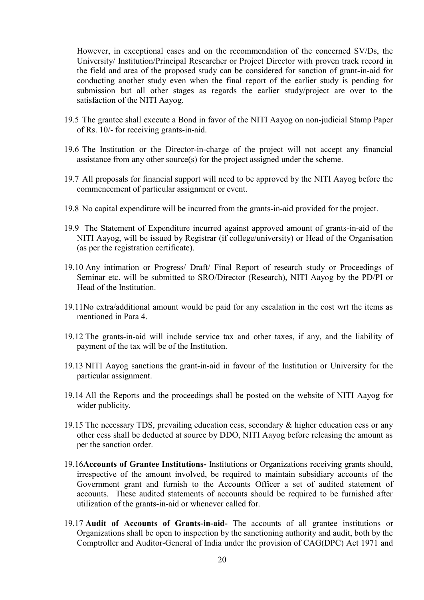However, in exceptional cases and on the recommendation of the concerned SV/Ds, the University/ Institution/Principal Researcher or Project Director with proven track record in the field and area of the proposed study can be considered for sanction of grant-in-aid for conducting another study even when the final report of the earlier study is pending for submission but all other stages as regards the earlier study/project are over to the satisfaction of the NITI Aayog.

- 19.5 The grantee shall execute a Bond in favor of the NITI Aayog on non-judicial Stamp Paper of Rs. 10/- for receiving grants-in-aid.
- 19.6 The Institution or the Director-in-charge of the project will not accept any financial assistance from any other source(s) for the project assigned under the scheme.
- 19.7 All proposals for financial support will need to be approved by the NITI Aayog before the commencement of particular assignment or event.
- 19.8 No capital expenditure will be incurred from the grants-in-aid provided for the project.
- 19.9 The Statement of Expenditure incurred against approved amount of grants-in-aid of the NITI Aayog, will be issued by Registrar (if college/university) or Head of the Organisation (as per the registration certificate).
- 19.10 Any intimation or Progress/ Draft/ Final Report of research study or Proceedings of Seminar etc. will be submitted to SRO/Director (Research), NITI Aayog by the PD/PI or Head of the Institution.
- 19.11No extra/additional amount would be paid for any escalation in the cost wrt the items as mentioned in Para 4.
- 19.12 The grants-in-aid will include service tax and other taxes, if any, and the liability of payment of the tax will be of the Institution.
- 19.13 NITI Aayog sanctions the grant-in-aid in favour of the Institution or University for the particular assignment.
- 19.14 All the Reports and the proceedings shall be posted on the website of NITI Aayog for wider publicity.
- 19.15 The necessary TDS, prevailing education cess, secondary & higher education cess or any other cess shall be deducted at source by DDO, NITI Aayog before releasing the amount as per the sanction order.
- 19.16**Accounts of Grantee Institutions-** Institutions or Organizations receiving grants should, irrespective of the amount involved, be required to maintain subsidiary accounts of the Government grant and furnish to the Accounts Officer a set of audited statement of accounts. These audited statements of accounts should be required to be furnished after utilization of the grants-in-aid or whenever called for.
- 19.17 **Audit of Accounts of Grants-in-aid-** The accounts of all grantee institutions or Organizations shall be open to inspection by the sanctioning authority and audit, both by the Comptroller and Auditor-General of India under the provision of CAG(DPC) Act 1971 and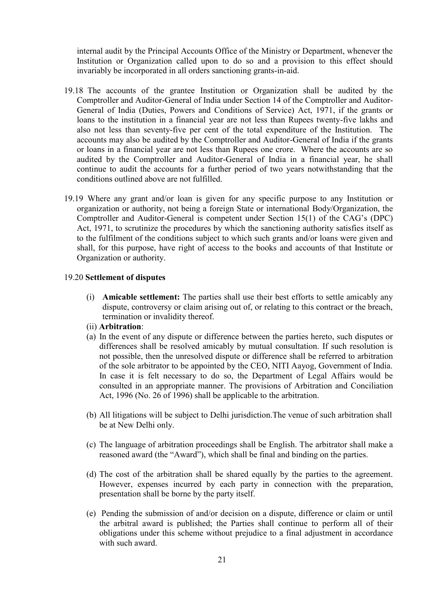internal audit by the Principal Accounts Office of the Ministry or Department, whenever the Institution or Organization called upon to do so and a provision to this effect should invariably be incorporated in all orders sanctioning grants-in-aid.

- 19.18The accounts of the grantee Institution or Organization shall be audited by the Comptroller and Auditor-General of India under Section 14 of the Comptroller and Auditor-General of India (Duties, Powers and Conditions of Service) Act, 1971, if the grants or loans to the institution in a financial year are not less than Rupees twenty-five lakhs and also not less than seventy-five per cent of the total expenditure of the Institution. The accounts may also be audited by the Comptroller and Auditor-General of India if the grants or loans in a financial year are not less than Rupees one crore. Where the accounts are so audited by the Comptroller and Auditor-General of India in a financial year, he shall continue to audit the accounts for a further period of two years notwithstanding that the conditions outlined above are not fulfilled.
- 19.19 Where any grant and/or loan is given for any specific purpose to any Institution or organization or authority, not being a foreign State or international Body/Organization, the Comptroller and Auditor-General is competent under Section 15(1) of the CAG's (DPC) Act, 1971, to scrutinize the procedures by which the sanctioning authority satisfies itself as to the fulfilment of the conditions subject to which such grants and/or loans were given and shall, for this purpose, have right of access to the books and accounts of that Institute or Organization or authority.

### 19.20 **Settlement of disputes**

- (i) **Amicable settlement:** The parties shall use their best efforts to settle amicably any dispute, controversy or claim arising out of, or relating to this contract or the breach, termination or invalidity thereof.
- (ii) **Arbitration**:
- (a) In the event of any dispute or difference between the parties hereto, such disputes or differences shall be resolved amicably by mutual consultation. If such resolution is not possible, then the unresolved dispute or difference shall be referred to arbitration of the sole arbitrator to be appointed by the CEO, NITI Aayog, Government of India. In case it is felt necessary to do so, the Department of Legal Affairs would be consulted in an appropriate manner. The provisions of Arbitration and Conciliation Act, 1996 (No. 26 of 1996) shall be applicable to the arbitration.
- (b) All litigations will be subject to Delhi jurisdiction.The venue of such arbitration shall be at New Delhi only.
- (c) The language of arbitration proceedings shall be English. The arbitrator shall make a reasoned award (the "Award"), which shall be final and binding on the parties.
- (d) The cost of the arbitration shall be shared equally by the parties to the agreement. However, expenses incurred by each party in connection with the preparation, presentation shall be borne by the party itself.
- (e) Pending the submission of and/or decision on a dispute, difference or claim or until the arbitral award is published; the Parties shall continue to perform all of their obligations under this scheme without prejudice to a final adjustment in accordance with such award.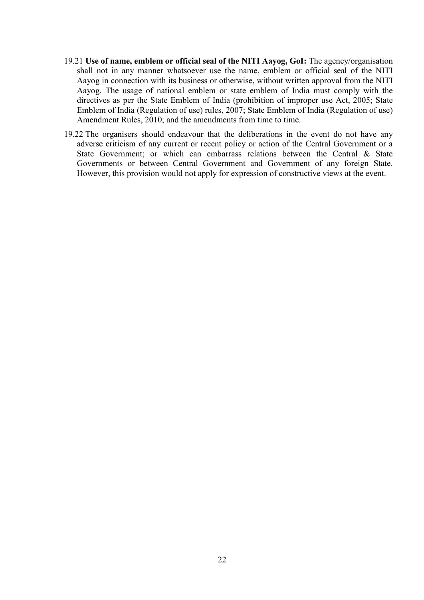- 19.21 **Use of name, emblem or official seal of the NITI Aayog, GoI:** The agency/organisation shall not in any manner whatsoever use the name, emblem or official seal of the NITI Aayog in connection with its business or otherwise, without written approval from the NITI Aayog. The usage of national emblem or state emblem of India must comply with the directives as per the State Emblem of India (prohibition of improper use Act, 2005; State Emblem of India (Regulation of use) rules, 2007; State Emblem of India (Regulation of use) Amendment Rules, 2010; and the amendments from time to time.
- 19.22 The organisers should endeavour that the deliberations in the event do not have any adverse criticism of any current or recent policy or action of the Central Government or a State Government; or which can embarrass relations between the Central & State Governments or between Central Government and Government of any foreign State. However, this provision would not apply for expression of constructive views at the event.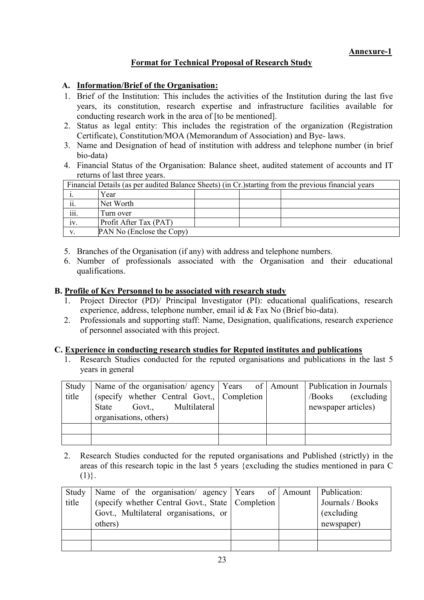# **Format for Technical Proposal of Research Study**

# **A. Information/Brief of the Organisation:**

- 1. Brief of the Institution: This includes the activities of the Institution during the last five years, its constitution, research expertise and infrastructure facilities available for conducting research work in the area of [to be mentioned].
- 2. Status as legal entity: This includes the registration of the organization (Registration Certificate), Constitution/MOA (Memorandum of Association) and Bye- laws.
- 3. Name and Designation of head of institution with address and telephone number (in brief bio-data)
- 4. Financial Status of the Organisation: Balance sheet, audited statement of accounts and IT returns of last three years.

| Financial Details (as per audited Balance Sheets) (in Cr.) starting from the previous financial years |                           |  |  |  |  |
|-------------------------------------------------------------------------------------------------------|---------------------------|--|--|--|--|
|                                                                                                       | Year                      |  |  |  |  |
| . .<br>11.                                                                                            | Net Worth                 |  |  |  |  |
| $\cdots$<br>111.                                                                                      | Turn over                 |  |  |  |  |
| 1V.                                                                                                   | Profit After Tax (PAT)    |  |  |  |  |
| v                                                                                                     | PAN No (Enclose the Copy) |  |  |  |  |

- 5. Branches of the Organisation (if any) with address and telephone numbers.
- 6. Number of professionals associated with the Organisation and their educational qualifications.

## **B. Profile of Key Personnel to be associated with research study**

- 1. Project Director (PD)/ Principal Investigator (PI): educational qualifications, research experience, address, telephone number, email id & Fax No (Brief bio-data).
- 2. Professionals and supporting staff: Name, Designation, qualifications, research experience of personnel associated with this project.

### **C. Experience in conducting research studies for Reputed institutes and publications**

Research Studies conducted for the reputed organisations and publications in the last 5 years in general

| Study | Name of the organisation/ agency   Years of   Amount   Publication in Journals |  |                       |
|-------|--------------------------------------------------------------------------------|--|-----------------------|
| title | (specify whether Central Govt., Completion                                     |  | (excluding)<br>/Books |
|       | Govt., Multilateral<br>State                                                   |  | newspaper articles)   |
|       | organisations, others)                                                         |  |                       |
|       |                                                                                |  |                       |
|       |                                                                                |  |                       |

2. Research Studies conducted for the reputed organisations and Published (strictly) in the areas of this research topic in the last 5 years {excluding the studies mentioned in para C  $(1)$ .

| Study | Name of the organisation/ agency Years of Amount Publication: |  |                  |
|-------|---------------------------------------------------------------|--|------------------|
| title | (specify whether Central Govt., State   Completion            |  | Journals / Books |
|       | Govt., Multilateral organisations, or                         |  | (excluding)      |
|       | others)                                                       |  | newspaper)       |
|       |                                                               |  |                  |
|       |                                                               |  |                  |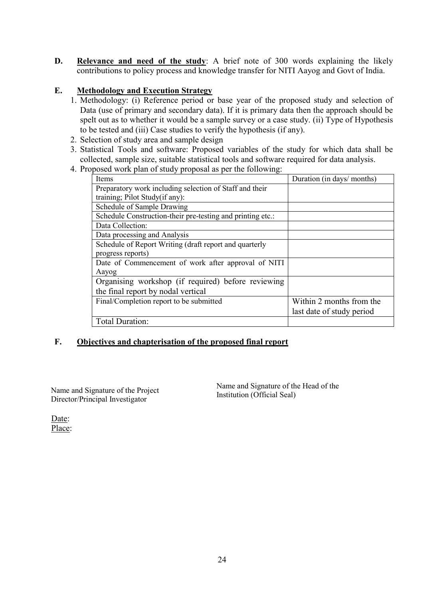**D. Relevance and need of the study**: A brief note of 300 words explaining the likely contributions to policy process and knowledge transfer for NITI Aayog and Govt of India.

## **E. Methodology and Execution Strategy**

- 1. Methodology: (i) Reference period or base year of the proposed study and selection of Data (use of primary and secondary data). If it is primary data then the approach should be spelt out as to whether it would be a sample survey or a case study. (ii) Type of Hypothesis to be tested and (iii) Case studies to verify the hypothesis (if any).
- 2. Selection of study area and sample design
- 3. Statistical Tools and software: Proposed variables of the study for which data shall be collected, sample size, suitable statistical tools and software required for data analysis.
- 4. Proposed work plan of study proposal as per the following:

| Items                                                      | Duration (in days/ months) |
|------------------------------------------------------------|----------------------------|
| Preparatory work including selection of Staff and their    |                            |
| training; Pilot Study(if any):                             |                            |
| Schedule of Sample Drawing                                 |                            |
| Schedule Construction-their pre-testing and printing etc.: |                            |
| Data Collection:                                           |                            |
| Data processing and Analysis                               |                            |
| Schedule of Report Writing (draft report and quarterly     |                            |
| progress reports)                                          |                            |
| Date of Commencement of work after approval of NITI        |                            |
| Aayog                                                      |                            |
| Organising workshop (if required) before reviewing         |                            |
| the final report by nodal vertical                         |                            |
| Final/Completion report to be submitted                    | Within 2 months from the   |
|                                                            | last date of study period  |
| Total Duration:                                            |                            |

## **F. Objectives and chapterisation of the proposed final report**

Name and Signature of the Project Director/Principal Investigator

Name and Signature of the Head of the Institution (Official Seal)

Date: Place: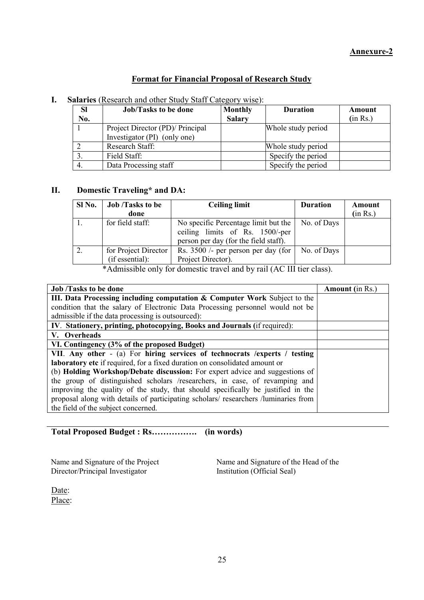# **Format for Financial Proposal of Research Study**

| <b>SI</b> | <b>Job/Tasks to be done</b>      | <b>Monthly</b> | <b>Duration</b>    | Amount   |
|-----------|----------------------------------|----------------|--------------------|----------|
| No.       |                                  | <b>Salary</b>  |                    | (in Rs.) |
|           | Project Director (PD)/ Principal |                | Whole study period |          |
|           | Investigator (PI) (only one)     |                |                    |          |
|           | Research Staff:                  |                | Whole study period |          |
|           | Field Staff:                     |                | Specify the period |          |
| 4.        | Data Processing staff            |                | Specify the period |          |

# **I. Salaries** (Research and other Study Staff Category wise):

## **II. Domestic Traveling\* and DA:**

| Sl No. | <b>Job</b> /Tasks to be                 | <b>Ceiling limit</b>                                                                                             | <b>Duration</b> | Amount   |
|--------|-----------------------------------------|------------------------------------------------------------------------------------------------------------------|-----------------|----------|
|        | done                                    |                                                                                                                  |                 | (in Rs.) |
|        | for field staff:                        | No specific Percentage limit but the<br>ceiling limits of Rs. 1500/-per<br>person per day (for the field staff). | No. of Days     |          |
|        | for Project Director<br>(if essential): | Rs. $3500$ /- per person per day (for<br>Project Director).                                                      | No. of Days     |          |

\*Admissible only for domestic travel and by rail (AC III tier class).

| <b>Job</b> /Tasks to be done                                                        | <b>Amount</b> (in Rs.) |
|-------------------------------------------------------------------------------------|------------------------|
| III. Data Processing including computation & Computer Work Subject to the           |                        |
| condition that the salary of Electronic Data Processing personnel would not be      |                        |
| admissible if the data processing is outsourced):                                   |                        |
| IV. Stationery, printing, photocopying, Books and Journals (if required):           |                        |
| V. Overheads                                                                        |                        |
| VI. Contingency (3% of the proposed Budget)                                         |                        |
| VII. Any other - (a) For hiring services of technocrats / experts / testing         |                        |
| laboratory etc if required, for a fixed duration on consolidated amount or          |                        |
| (b) <b>Holding Workshop/Debate discussion:</b> For expert advice and suggestions of |                        |
| the group of distinguished scholars /researchers, in case, of revamping and         |                        |
| improving the quality of the study, that should specifically be justified in the    |                        |
| proposal along with details of participating scholars/ researchers /luminaries from |                        |
| the field of the subject concerned.                                                 |                        |

**Total Proposed Budget : Rs……………. (in words)**

Name and Signature of the Project Director/Principal Investigator

Name and Signature of the Head of the Institution (Official Seal)

Date: Place: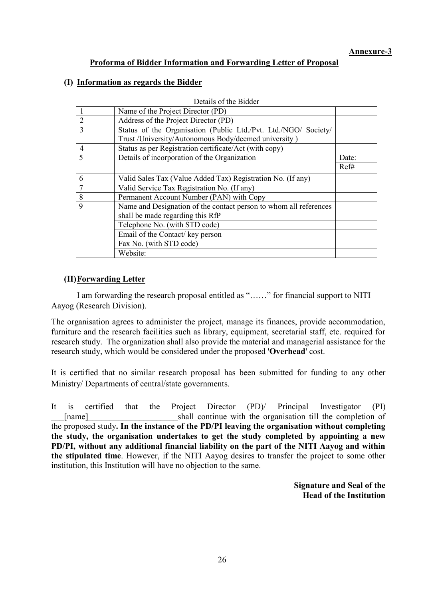## **Proforma of Bidder Information and Forwarding Letter of Proposal**

## **(I) Information as regards the Bidder**

|                                                                                                            | Details of the Bidder                                                                                                   |       |  |  |
|------------------------------------------------------------------------------------------------------------|-------------------------------------------------------------------------------------------------------------------------|-------|--|--|
|                                                                                                            | Name of the Project Director (PD)                                                                                       |       |  |  |
| $\overline{2}$                                                                                             | Address of the Project Director (PD)                                                                                    |       |  |  |
| $\mathbf{3}$                                                                                               | Status of the Organisation (Public Ltd./Pvt. Ltd./NGO/ Society/<br>Trust /University/Autonomous Body/deemed university) |       |  |  |
| 4                                                                                                          | Status as per Registration certificate/Act (with copy)                                                                  |       |  |  |
| $\varsigma$                                                                                                | Details of incorporation of the Organization                                                                            | Date: |  |  |
|                                                                                                            |                                                                                                                         | Ref#  |  |  |
| 6                                                                                                          | Valid Sales Tax (Value Added Tax) Registration No. (If any)                                                             |       |  |  |
| $\overline{7}$                                                                                             | Valid Service Tax Registration No. (If any)                                                                             |       |  |  |
| 8                                                                                                          | Permanent Account Number (PAN) with Copy                                                                                |       |  |  |
| 9<br>Name and Designation of the contact person to whom all references<br>shall be made regarding this RfP |                                                                                                                         |       |  |  |
|                                                                                                            | Telephone No. (with STD code)                                                                                           |       |  |  |
|                                                                                                            | Email of the Contact/key person                                                                                         |       |  |  |
|                                                                                                            | Fax No. (with STD code)                                                                                                 |       |  |  |
|                                                                                                            | Website:                                                                                                                |       |  |  |

# **(II)Forwarding Letter**

 I am forwarding the research proposal entitled as "……" for financial support to NITI Aayog (Research Division).

The organisation agrees to administer the project, manage its finances, provide accommodation, furniture and the research facilities such as library, equipment, secretarial staff, etc. required for research study. The organization shall also provide the material and managerial assistance for the research study, which would be considered under the proposed '**Overhead**' cost.

It is certified that no similar research proposal has been submitted for funding to any other Ministry/ Departments of central/state governments.

It is certified that the Project Director (PD)/ Principal Investigator (PI) [name] shall continue with the organisation till the completion of the proposed study**. In the instance of the PD/PI leaving the organisation without completing the study, the organisation undertakes to get the study completed by appointing a new PD/PI, without any additional financial liability on the part of the NITI Aayog and within the stipulated time**. However, if the NITI Aayog desires to transfer the project to some other institution, this Institution will have no objection to the same.

> **Signature and Seal of the Head of the Institution**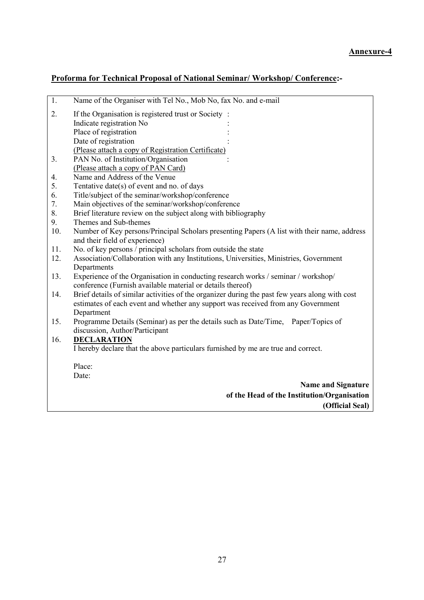# **Proforma for Technical Proposal of National Seminar/ Workshop/ Conference:-**

| $\overline{1}$ . | Name of the Organiser with Tel No., Mob No, fax No. and e-mail                                 |
|------------------|------------------------------------------------------------------------------------------------|
| 2.               | If the Organisation is registered trust or Society:                                            |
|                  | Indicate registration No                                                                       |
|                  | Place of registration                                                                          |
|                  | Date of registration                                                                           |
|                  | (Please attach a copy of Registration Certificate)                                             |
| 3.               | PAN No. of Institution/Organisation                                                            |
|                  | (Please attach a copy of PAN Card)                                                             |
| 4.               | Name and Address of the Venue                                                                  |
| 5.               | Tentative date(s) of event and no. of days                                                     |
| 6.               | Title/subject of the seminar/workshop/conference                                               |
| 7.               | Main objectives of the seminar/workshop/conference                                             |
| 8.               | Brief literature review on the subject along with bibliography                                 |
| 9.               | Themes and Sub-themes                                                                          |
| 10.              | Number of Key persons/Principal Scholars presenting Papers (A list with their name, address    |
|                  | and their field of experience)                                                                 |
| 11.              | No. of key persons / principal scholars from outside the state                                 |
| 12.              | Association/Collaboration with any Institutions, Universities, Ministries, Government          |
|                  | Departments                                                                                    |
| 13.              | Experience of the Organisation in conducting research works / seminar / workshop/              |
|                  | conference (Furnish available material or details thereof)                                     |
| 14.              | Brief details of similar activities of the organizer during the past few years along with cost |
|                  | estimates of each event and whether any support was received from any Government               |
|                  | Department                                                                                     |
| 15.              | Programme Details (Seminar) as per the details such as Date/Time,<br>Paper/Topics of           |
|                  | discussion, Author/Participant                                                                 |
| 16.              | <b>DECLARATION</b>                                                                             |
|                  | I hereby declare that the above particulars furnished by me are true and correct.              |
|                  | Place:                                                                                         |
|                  | Date:                                                                                          |
|                  | <b>Name and Signature</b>                                                                      |
|                  | of the Head of the Institution/Organisation                                                    |
|                  |                                                                                                |
|                  | (Official Seal)                                                                                |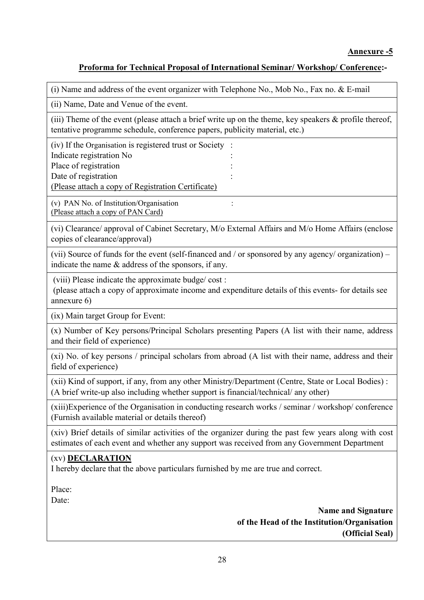# **Proforma for Technical Proposal of International Seminar/ Workshop/ Conference:-**

(i) Name and address of the event organizer with Telephone No., Mob No., Fax no. & E-mail

(ii) Name, Date and Venue of the event.

(iii) Theme of the event (please attach a brief write up on the theme, key speakers & profile thereof, tentative programme schedule, conference papers, publicity material, etc.)

(iv) If the Organisation is registered trust or Society : Indicate registration No : Place of registration Date of registration (Please attach a copy of Registration Certificate)

(v) PAN No. of Institution/Organisation : (Please attach a copy of PAN Card)

(vi) Clearance/ approval of Cabinet Secretary, M/o External Affairs and M/o Home Affairs (enclose copies of clearance/approval)

(vii) Source of funds for the event (self-financed and / or sponsored by any agency/ organization) – indicate the name & address of the sponsors, if any.

(viii) Please indicate the approximate budge/ cost :

(please attach a copy of approximate income and expenditure details of this events- for details see annexure 6)

(ix) Main target Group for Event:

(x) Number of Key persons/Principal Scholars presenting Papers (A list with their name, address and their field of experience)

(xi) No. of key persons / principal scholars from abroad (A list with their name, address and their field of experience)

(xii) Kind of support, if any, from any other Ministry/Department (Centre, State or Local Bodies) : (A brief write-up also including whether support is financial/technical/ any other)

(xiii)Experience of the Organisation in conducting research works / seminar / workshop/ conference (Furnish available material or details thereof)

(xiv) Brief details of similar activities of the organizer during the past few years along with cost estimates of each event and whether any support was received from any Government Department

# (xv) **DECLARATION**

I hereby declare that the above particulars furnished by me are true and correct.

Place:

Date:

**Name and Signature of the Head of the Institution/Organisation (Official Seal)**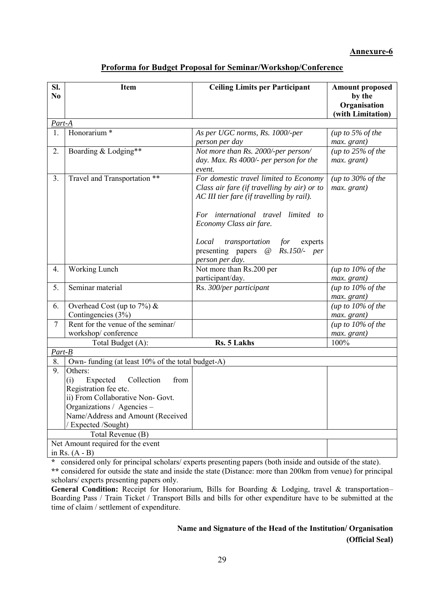# **Proforma for Budget Proposal for Seminar/Workshop/Conference**

| SI.            | <b>Item</b>                                       | <b>Ceiling Limits per Participant</b>       | <b>Amount proposed</b>                   |  |  |  |
|----------------|---------------------------------------------------|---------------------------------------------|------------------------------------------|--|--|--|
| N <sub>0</sub> |                                                   |                                             | by the                                   |  |  |  |
|                |                                                   |                                             | Organisation                             |  |  |  |
|                |                                                   |                                             | (with Limitation)                        |  |  |  |
| Part-A         |                                                   |                                             |                                          |  |  |  |
| 1.             | Honorarium <sup>*</sup>                           | As per UGC norms, Rs. 1000/-per             | (up to $5\%$ of the                      |  |  |  |
|                |                                                   | person per day                              | max. grant)                              |  |  |  |
| 2.             | Boarding & Lodging**                              | Not more than Rs. 2000/-per person/         | (up to $25\%$ of the                     |  |  |  |
|                |                                                   | day. Max. Rs 4000/- per person for the      | max. grant)                              |  |  |  |
|                |                                                   | event.                                      |                                          |  |  |  |
| 3 <sub>1</sub> | Travel and Transportation **                      | For domestic travel limited to Economy      | (up to $30\%$ of the                     |  |  |  |
|                |                                                   | Class air fare (if travelling by air) or to | max. grant)                              |  |  |  |
|                |                                                   | AC III tier fare (if travelling by rail).   |                                          |  |  |  |
|                |                                                   |                                             |                                          |  |  |  |
|                |                                                   | For international travel limited to         |                                          |  |  |  |
|                |                                                   | Economy Class air fare.                     |                                          |  |  |  |
|                |                                                   | Local<br>transportation for<br>experts      |                                          |  |  |  |
|                |                                                   | presenting papers @ Rs.150/- per            |                                          |  |  |  |
|                |                                                   | person per day.                             |                                          |  |  |  |
| 4.             | Working Lunch                                     | Not more than Rs.200 per                    | (up to $10\%$ of the                     |  |  |  |
|                |                                                   | participant/day.                            | max. grant)                              |  |  |  |
| 5.             | Seminar material                                  | Rs. 300/per participant                     | (up to $10\%$ of the                     |  |  |  |
|                |                                                   |                                             | max. grant)                              |  |  |  |
| 6.             | Overhead Cost (up to $7\%$ ) &                    |                                             | (up to $10\%$ of the                     |  |  |  |
|                | Contingencies (3%)                                |                                             | max. grant)                              |  |  |  |
| $\overline{7}$ | Rent for the venue of the seminar/                |                                             | $\overline{(up to 10\% \text{ of the})}$ |  |  |  |
|                | workshop/conference                               |                                             | max. grant)                              |  |  |  |
|                | Total Budget (A):                                 | Rs. 5 Lakhs                                 | 100%                                     |  |  |  |
| Part-B         |                                                   |                                             |                                          |  |  |  |
| 8.             | Own- funding (at least 10% of the total budget-A) |                                             |                                          |  |  |  |
| 9.             | Others:                                           |                                             |                                          |  |  |  |
|                | Collection<br>Expected<br>from<br>(i)             |                                             |                                          |  |  |  |
|                | Registration fee etc.                             |                                             |                                          |  |  |  |
|                | ii) From Collaborative Non- Govt.                 |                                             |                                          |  |  |  |
|                | Organizations / Agencies -                        |                                             |                                          |  |  |  |
|                | Name/Address and Amount (Received                 |                                             |                                          |  |  |  |
|                | / Expected /Sought)                               |                                             |                                          |  |  |  |
|                | Total Revenue (B)                                 |                                             |                                          |  |  |  |
|                | Net Amount required for the event                 |                                             |                                          |  |  |  |
|                | in Rs. $(A - B)$                                  |                                             |                                          |  |  |  |

**\*** considered only for principal scholars/ experts presenting papers (both inside and outside of the state).

**\*\*** considered for outside the state and inside the state (Distance: more than 200km from venue) for principal scholars/ experts presenting papers only.

General Condition: Receipt for Honorarium, Bills for Boarding & Lodging, travel & transportation– Boarding Pass / Train Ticket / Transport Bills and bills for other expenditure have to be submitted at the time of claim / settlement of expenditure.

# **Name and Signature of the Head of the Institution/ Organisation (Official Seal)**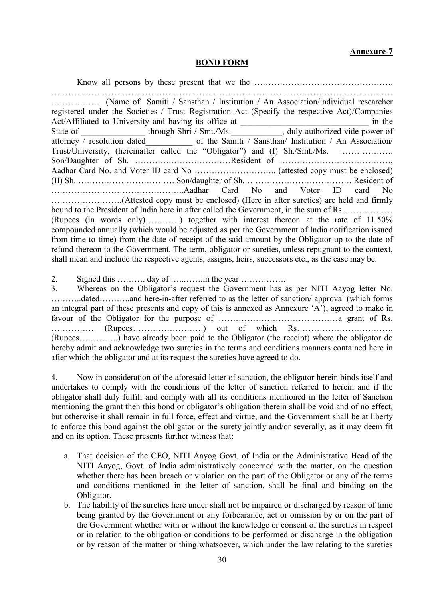#### **BOND FORM**

Know all persons by these present that we the …………………………………………. ………………………………………………………………………………………………………… ……………… (Name of Samiti / Sansthan / Institution / An Association/individual researcher registered under the Societies / Trust Registration Act (Specify the respective Act)/Companies Act/Affiliated to University and having its office at  $\qquad \qquad$  in the State of \_\_\_\_\_\_\_\_\_\_\_\_\_\_\_\_\_\_\_\_\_through Shri / Smt./Ms.\_\_\_\_\_\_\_\_\_\_\_\_\_\_\_\_, duly authorized vide power of attorney / resolution dated\_\_\_\_\_\_\_\_\_\_\_ of the Samiti / Sansthan/ Institution / An Association/ Trust/University, (hereinafter called the "Obligator") and (I) Sh./Smt./Ms. ………………. Son/Daughter of Sh. ………….…………………Resident of …………………………………, Aadhar Card No. and Voter ID card No ……………………….. (attested copy must be enclosed) (II) Sh. ……………………………. Son/daughter of Sh. ………………………………. Resident of ………………………………………..Aadhar Card No and Voter ID card No …………………….(Attested copy must be enclosed) (Here in after sureties) are held and firmly bound to the President of India here in after called the Government, in the sum of Rs……………… (Rupees (in words only)…………) together with interest thereon at the rate of 11.50% compounded annually (which would be adjusted as per the Government of India notification issued from time to time) from the date of receipt of the said amount by the Obligator up to the date of refund thereon to the Government. The term, obligator or sureties, unless repugnant to the context, shall mean and include the respective agents, assigns, heirs, successors etc., as the case may be.

2. Signed this ………. day of …..…….in the year …………….

3. Whereas on the Obligator's request the Government has as per NITI Aayog letter No. ………..dated………..and here-in-after referred to as the letter of sanction/ approval (which forms an integral part of these presents and copy of this is annexed as Annexure 'A'), agreed to make in favour of the Obligator for the purpose of ……………………………………a grant of Rs. …………… (Rupees…………………….) out of which Rs……………………………. (Rupees…………..) have already been paid to the Obligator (the receipt) where the obligator do hereby admit and acknowledge two sureties in the terms and conditions manners contained here in after which the obligator and at its request the sureties have agreed to do.

4. Now in consideration of the aforesaid letter of sanction, the obligator herein binds itself and undertakes to comply with the conditions of the letter of sanction referred to herein and if the obligator shall duly fulfill and comply with all its conditions mentioned in the letter of Sanction mentioning the grant then this bond or obligator's obligation therein shall be void and of no effect, but otherwise it shall remain in full force, effect and virtue, and the Government shall be at liberty to enforce this bond against the obligator or the surety jointly and/or severally, as it may deem fit and on its option. These presents further witness that:

- a. That decision of the CEO, NITI Aayog Govt. of India or the Administrative Head of the NITI Aayog, Govt. of India administratively concerned with the matter, on the question whether there has been breach or violation on the part of the Obligator or any of the terms and conditions mentioned in the letter of sanction, shall be final and binding on the Obligator.
- b. The liability of the sureties here under shall not be impaired or discharged by reason of time being granted by the Government or any forbearance, act or omission by or on the part of the Government whether with or without the knowledge or consent of the sureties in respect or in relation to the obligation or conditions to be performed or discharge in the obligation or by reason of the matter or thing whatsoever, which under the law relating to the sureties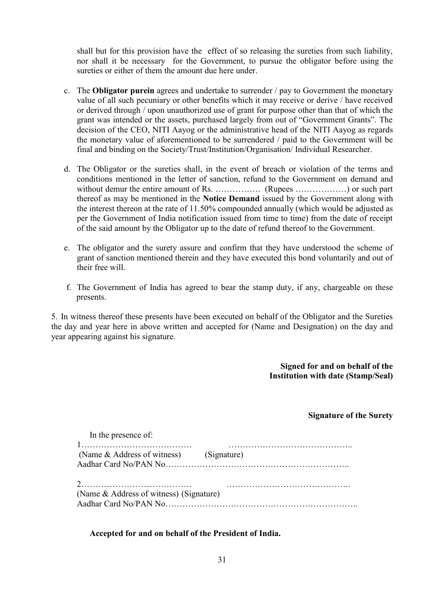shall but for this provision have the effect of so releasing the sureties from such liability, nor shall it be necessary for the Government, to pursue the obligator before using the sureties or either of them the amount due here under.

- c. The **Obligator purein** agrees and undertake to surrender / pay to Government the monetary value of all such pecuniary or other benefits which it may receive or derive / have received or derived through / upon unauthorized use of grant for purpose other than that of which the grant was intended or the assets, purchased largely from out of "Government Grants". The decision of the CEO, NITI Aayog or the administrative head of the NITI Aayog as regards the monetary value of aforementioned to be surrendered / paid to the Government will be final and binding on the Society/Trust/Institution/Organisation/ Individual Researcher.
- d. The Obligator or the sureties shall, in the event of breach or violation of the terms and conditions mentioned in the letter of sanction, refund to the Government on demand and without demur the entire amount of Rs. ……………. (Rupees ………………) or such part thereof as may be mentioned in the **Notice Demand** issued by the Government along with the interest thereon at the rate of 11.50% compounded annually (which would be adjusted as per the Government of India notification issued from time to time) from the date of receipt of the said amount by the Obligator up to the date of refund thereof to the Government.
- e. The obligator and the surety assure and confirm that they have understood the scheme of grant of sanction mentioned therein and they have executed this bond voluntarily and out of their free will.
- f. The Government of India has agreed to bear the stamp duty, if any, chargeable on these presents.

5. In witness thereof these presents have been executed on behalf of the Obligator and the Sureties the day and year here in above written and accepted for (Name and Designation) on the day and year appearing against his signature.

> **Signed for and on behalf of the Institution with date (Stamp/Seal)**

### **Signature of the Surety**

| In the presence of:                     |  |
|-----------------------------------------|--|
|                                         |  |
| (Name & Address of witness) (Signature) |  |
|                                         |  |
|                                         |  |
|                                         |  |
| (Name & Address of witness) (Signature) |  |
|                                         |  |
|                                         |  |

### **Accepted for and on behalf of the President of India.**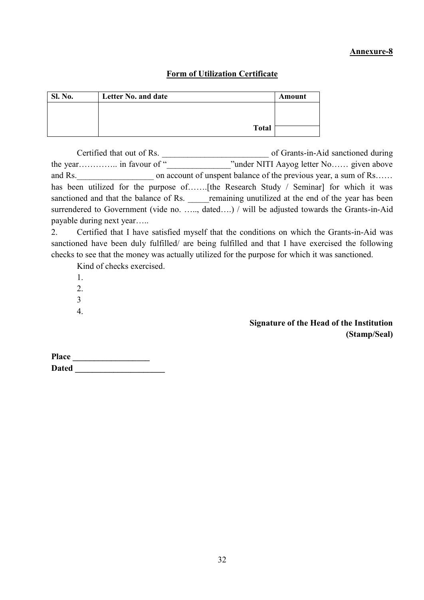# **Form of Utilization Certificate**

| <b>Sl. No.</b> | Letter No. and date | Amount |
|----------------|---------------------|--------|
|                |                     |        |
|                |                     |        |
|                | <b>Total</b>        |        |

Certified that out of Rs.  $\qquad \qquad$  of Grants-in-Aid sanctioned during the year………….. in favour of "\_\_\_\_\_\_\_\_\_\_\_\_\_\_\_\_\_\_\_"under NITI Aayog letter No…… given above and Rs. on account of unspent balance of the previous year, a sum of Rs…… has been utilized for the purpose of........ [the Research Study / Seminar] for which it was sanctioned and that the balance of Rs. The remaining unutilized at the end of the year has been surrendered to Government (vide no. ....., dated....) / will be adjusted towards the Grants-in-Aid payable during next year…..

2. Certified that I have satisfied myself that the conditions on which the Grants-in-Aid was sanctioned have been duly fulfilled/ are being fulfilled and that I have exercised the following checks to see that the money was actually utilized for the purpose for which it was sanctioned.

Kind of checks exercised.

1.

2.

- 3
- 4.

# **Signature of the Head of the Institution (Stamp/Seal)**

| <b>Place</b> |  |
|--------------|--|
| <b>Dated</b> |  |